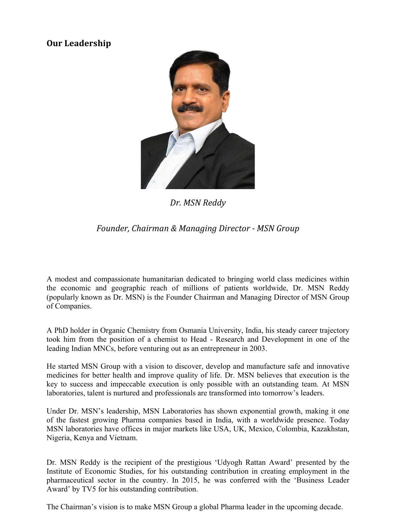## **Our Leadership**



*Dr. MSN Reddy* 

## *Founder, Chairman & Managing Director - MSN Group*

A modest and compassionate humanitarian dedicated to bringing world class medicines within the economic and geographic reach of millions of patients worldwide, Dr. MSN Reddy (popularly known as Dr. MSN) is the Founder Chairman and Managing Director of MSN Group of Companies.

A PhD holder in Organic Chemistry from Osmania University, India, his steady career trajectory took him from the position of a chemist to Head - Research and Development in one of the leading Indian MNCs, before venturing out as an entrepreneur in 2003.

He started MSN Group with a vision to discover, develop and manufacture safe and innovative medicines for better health and improve quality of life. Dr. MSN believes that execution is the key to success and impeccable execution is only possible with an outstanding team. At MSN laboratories, talent is nurtured and professionals are transformed into tomorrow's leaders.

Under Dr. MSN's leadership, MSN Laboratories has shown exponential growth, making it one of the fastest growing Pharma companies based in India, with a worldwide presence. Today MSN laboratories have offices in major markets like USA, UK, Mexico, Colombia, Kazakhstan, Nigeria, Kenya and Vietnam.

Dr. MSN Reddy is the recipient of the prestigious 'Udyogh Rattan Award' presented by the Institute of Economic Studies, for his outstanding contribution in creating employment in the pharmaceutical sector in the country. In 2015, he was conferred with the 'Business Leader Award' by TV5 for his outstanding contribution.

The Chairman's vision is to make MSN Group a global Pharma leader in the upcoming decade.